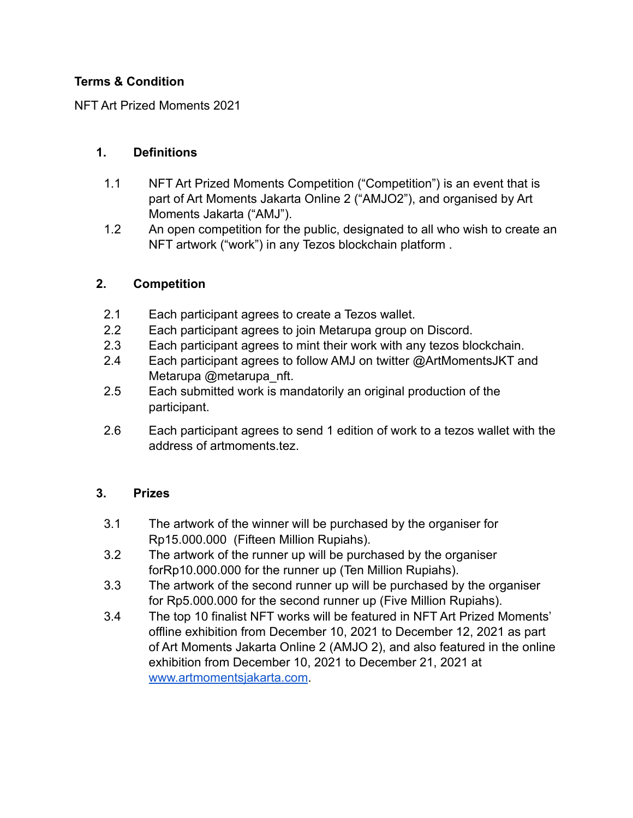# **Terms & Condition**

NFT Art Prized Moments 2021

## **1. Definitions**

- 1.1 NFT Art Prized Moments Competition ("Competition") is an event that is part of Art Moments Jakarta Online 2 ("AMJO2"), and organised by Art Moments Jakarta ("AMJ").
- 1.2 An open competition for the public, designated to all who wish to create an NFT artwork ("work") in any Tezos blockchain platform .

## **2. Competition**

- 2.1 Each participant agrees to create a Tezos wallet.
- 2.2 Each participant agrees to join Metarupa group on Discord.
- 2.3 Each participant agrees to mint their work with any tezos blockchain.
- 2.4 Each participant agrees to follow AMJ on twitter @ArtMomentsJKT and Metarupa @metarupa\_nft.
- 2.5 Each submitted work is mandatorily an original production of the participant.
- 2.6 Each participant agrees to send 1 edition of work to a tezos wallet with the address of artmoments tez.

# **3. Prizes**

- 3.1 The artwork of the winner will be purchased by the organiser for Rp15.000.000 (Fifteen Million Rupiahs).
- 3.2 The artwork of the runner up will be purchased by the organiser forRp10.000.000 for the runner up (Ten Million Rupiahs).
- 3.3 The artwork of the second runner up will be purchased by the organiser for Rp5.000.000 for the second runner up (Five Million Rupiahs).
- 3.4 The top 10 finalist NFT works will be featured in NFT Art Prized Moments' offline exhibition from December 10, 2021 to December 12, 2021 as part of Art Moments Jakarta Online 2 (AMJO 2), and also featured in the online exhibition from December 10, 2021 to December 21, 2021 at [www.artmomentsjakarta.com](http://www.artmomentsjakarta.com).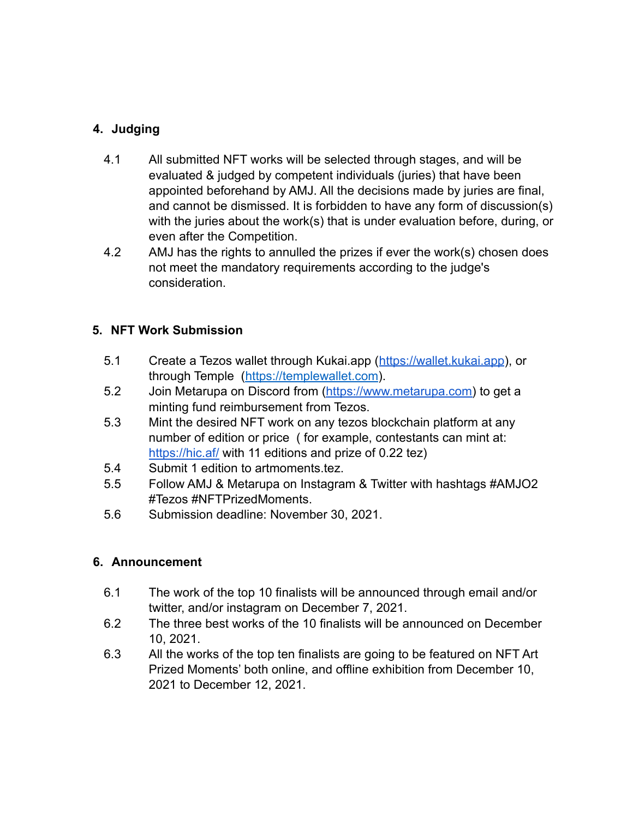# **4. Judging**

- 4.1 All submitted NFT works will be selected through stages, and will be evaluated & judged by competent individuals (juries) that have been appointed beforehand by AMJ. All the decisions made by juries are final, and cannot be dismissed. It is forbidden to have any form of discussion(s) with the juries about the work(s) that is under evaluation before, during, or even after the Competition.
- 4.2 AMJ has the rights to annulled the prizes if ever the work(s) chosen does not meet the mandatory requirements according to the judge's consideration.

## **5. NFT Work Submission**

- 5.1 Create a Tezos wallet through Kukai.app (<https://wallet.kukai.app>), or through Temple [\(https://templewallet.com](https://templewallet.com)).
- 5.2 Join Metarupa on Discord from [\(https://www.metarupa.com\)](https://www.metarupa.com) to get a minting fund reimbursement from Tezos.
- 5.3 Mint the desired NFT work on any tezos blockchain platform at any number of edition or price ( for example, contestants can mint at: <https://hic.af/> with 11 editions and prize of 0.22 tez)
- 5.4 Submit 1 edition to artmoments.tez.
- 5.5 Follow AMJ & Metarupa on Instagram & Twitter with hashtags #AMJO2 #Tezos #NFTPrizedMoments.
- 5.6 Submission deadline: November 30, 2021.

#### **6. Announcement**

- 6.1 The work of the top 10 finalists will be announced through email and/or twitter, and/or instagram on December 7, 2021.
- 6.2 The three best works of the 10 finalists will be announced on December 10, 2021.
- 6.3 All the works of the top ten finalists are going to be featured on NFT Art Prized Moments' both online, and offline exhibition from December 10, 2021 to December 12, 2021.